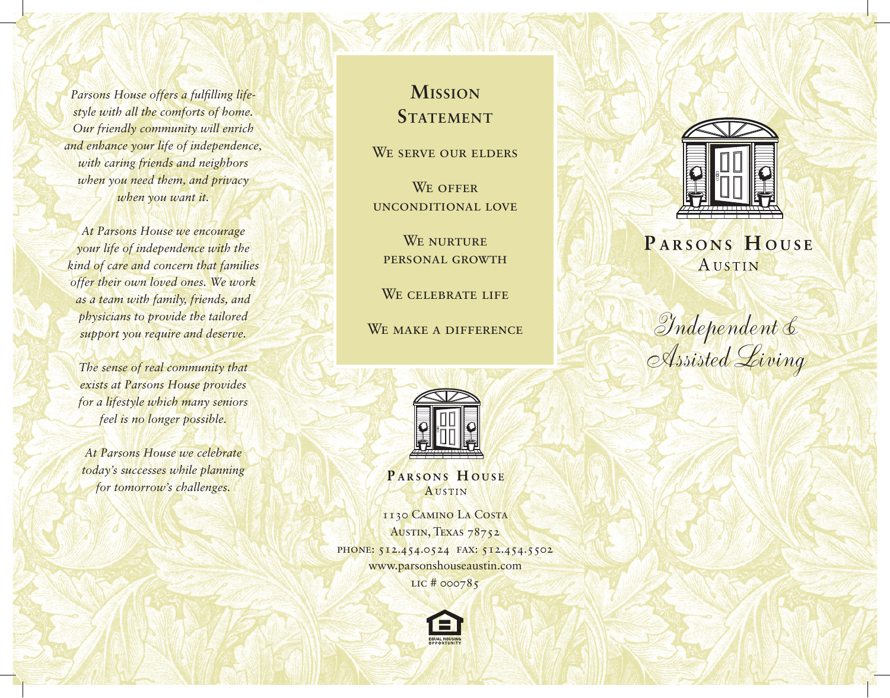*Parsons House offers a fulfilling lifestyle with all the comforts of home. Our friendly community will enrich and enhance your life of independence, with caring friends and neighbors when you need them, and privacy when you want it.*

*At Parsons House we encourage your life of independence with the kind of care and concern that families offer their own loved ones. We work as a team with family, friends, and physicians to provide the tailored support you require and deserve.*

*The sense of real community that exists at Parsons House provides for a lifestyle which many seniors feel is no longer possible.*

*At Parsons House we celebrate today's successes while planning for tomorrow's challenges.*

# **Mission STATEMENT**

WE SERVE OUR ELDERS

WE OFFER unconditional love

WE NURTURE personal growth

WE CELEBRATE LIFE

WE MAKE A DIFFERENCE



PARSONS HOUSE **AUSTIN** 

1130 Camino La Costa AUSTIN, TEXAS 78752 PHONE: 512.454.0524 FAX: 512.454.5502 www.parsonshouseaustin.com LIC # 000785





## PARSONS HOUSE AUSTIN

Independent & Assisted Living